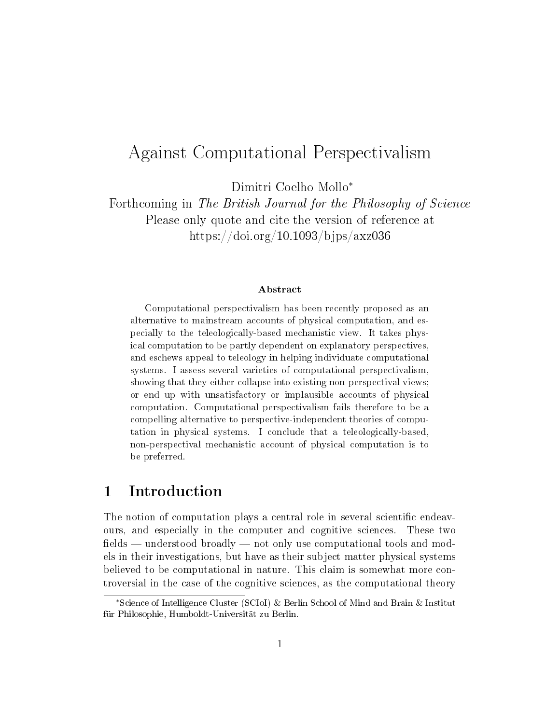# Against Computational Perspectivalism

Dimitri Coelho Mollo<sup>∗</sup>

Forthcoming in The British Journal for the Philosophy of Science Please only quote and cite the version of reference at https://doi.org/10.1093/bjps/axz036

#### ${\bf A}$  bstract

Computational perspectivalism has been recently proposed as an alternative to mainstream accounts of physical computation, and especially to the teleologically-based mechanistic view. It takes physical computation to be partly dependent on explanatory perspectives, and eschews appeal to teleology in helping individuate computational systems. I assess several varieties of computational perspectivalism, showing that they either collapse into existing non-perspectival views; or end up with unsatisfactory or implausible accounts of physical computation. Computational perspectivalism fails therefore to be a compelling alternative to perspective-independent theories of computation in physical systems. I conclude that a teleologically-based, non-perspectival mechanistic account of physical computation is to be preferred.

## 1 Introduction

The notion of computation plays a central role in several scientific endeavours, and especially in the computer and cognitive sciences. These two fields  $-$  understood broadly  $-$  not only use computational tools and models in their investigations, but have as their subject matter physical systems believed to be computational in nature. This claim is somewhat more controversial in the case of the cognitive sciences, as the computational theory

<sup>∗</sup>Science of Intelligence Cluster (SCIoI) & Berlin School of Mind and Brain & Institut für Philosophie, Humboldt-Universität zu Berlin.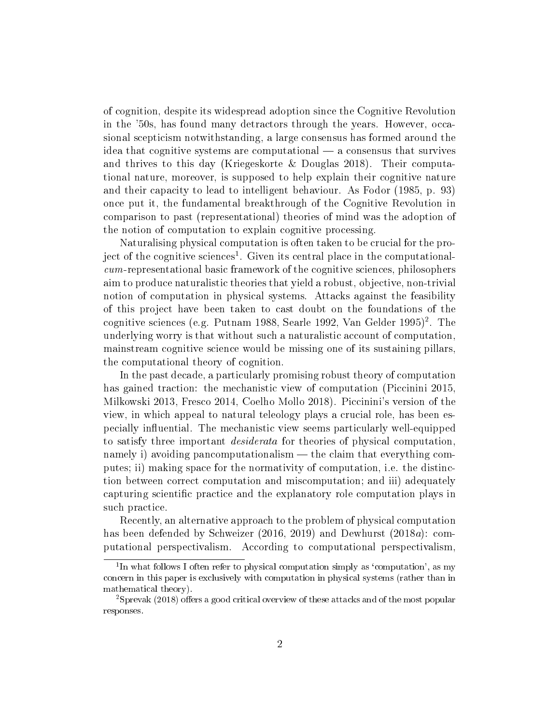of cognition, despite its widespread adoption since the Cognitive Revolution in the '50s, has found many detractors through the years. However, occasional scepticism notwithstanding, a large consensus has formed around the idea that cognitive systems are computational  $-$  a consensus that survives and thrives to this day (Kriegeskorte & Douglas 2018). Their computational nature, moreover, is supposed to help explain their cognitive nature and their capacity to lead to intelligent behaviour. As Fodor (1985, p. 93) once put it, the fundamental breakthrough of the Cognitive Revolution in comparison to past (representational) theories of mind was the adoption of the notion of computation to explain cognitive processing.

Naturalising physical computation is often taken to be crucial for the project of the cognitive sciences<sup>1</sup>. Given its central place in the computational $cum$ -representational basic framework of the cognitive sciences, philosophers aim to produce naturalistic theories that yield a robust, objective, non-trivial notion of computation in physical systems. Attacks against the feasibility of this project have been taken to cast doubt on the foundations of the cognitive sciences (e.g. Putnam 1988, Searle 1992, Van Gelder 1995)<sup>2</sup>. The underlying worry is that without such a naturalistic account of computation, mainstream cognitive science would be missing one of its sustaining pillars, the computational theory of cognition.

In the past decade, a particularly promising robust theory of computation has gained traction: the mechanistic view of computation (Piccinini 2015, Milkowski 2013, Fresco 2014, Coelho Mollo 2018). Piccinini's version of the view, in which appeal to natural teleology plays a crucial role, has been especially influential. The mechanistic view seems particularly well-equipped to satisfy three important desiderata for theories of physical computation, namely i) avoiding pancomputationalism  $-$  the claim that everything computes; ii) making space for the normativity of computation, i.e. the distinction between correct computation and miscomputation; and iii) adequately capturing scientific practice and the explanatory role computation plays in such practice.

Recently, an alternative approach to the problem of physical computation has been defended by Schweizer (2016, 2019) and Dewhurst (2018a): computational perspectivalism. According to computational perspectivalism,

<sup>&</sup>lt;sup>1</sup>In what follows I often refer to physical computation simply as 'computation', as my concern in this paper is exclusively with computation in physical systems (rather than in mathematical theory).

 $2$ Sprevak (2018) offers a good critical overview of these attacks and of the most popular responses.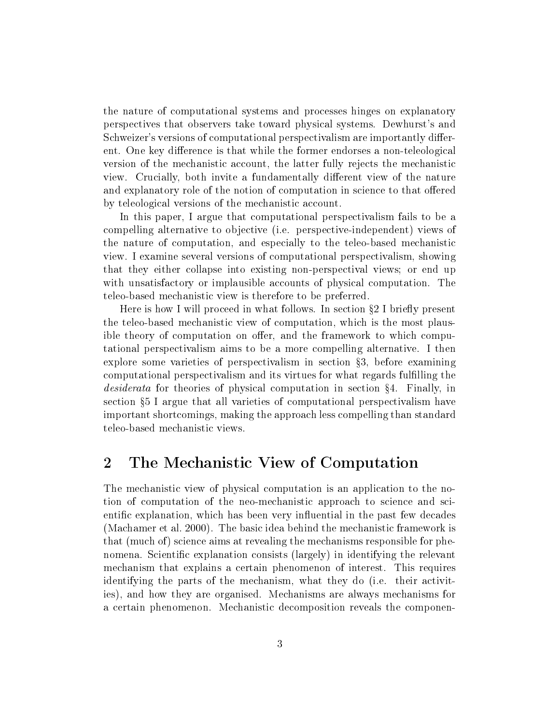the nature of computational systems and processes hinges on explanatory perspectives that observers take toward physical systems. Dewhurst's and Schweizer's versions of computational perspectivalism are importantly different. One key difference is that while the former endorses a non-teleological version of the mechanistic account, the latter fully rejects the mechanistic view. Crucially, both invite a fundamentally different view of the nature and explanatory role of the notion of computation in science to that offered by teleological versions of the mechanistic account.

In this paper, I argue that computational perspectivalism fails to be a compelling alternative to objective (i.e. perspective-independent) views of the nature of computation, and especially to the teleo-based mechanistic view. I examine several versions of computational perspectivalism, showing that they either collapse into existing non-perspectival views; or end up with unsatisfactory or implausible accounts of physical computation. The teleo-based mechanistic view is therefore to be preferred.

Here is how I will proceed in what follows. In section  $\S 2$  I briefly present the teleo-based mechanistic view of computation, which is the most plausible theory of computation on offer, and the framework to which computational perspectivalism aims to be a more compelling alternative. I then explore some varieties of perspectivalism in section  $\S$ 3, before examining computational perspectivalism and its virtues for what regards fullling the desiderata for theories of physical computation in section §4. Finally, in section §5 I argue that all varieties of computational perspectivalism have important shortcomings, making the approach less compelling than standard teleo-based mechanistic views.

### 2 The Mechanistic View of Computation

The mechanistic view of physical computation is an application to the notion of computation of the neo-mechanistic approach to science and scientific explanation, which has been very influential in the past few decades (Machamer et al. 2000). The basic idea behind the mechanistic framework is that (much of) science aims at revealing the mechanisms responsible for phenomena. Scientific explanation consists (largely) in identifying the relevant mechanism that explains a certain phenomenon of interest. This requires identifying the parts of the mechanism, what they do (i.e. their activities), and how they are organised. Mechanisms are always mechanisms for a certain phenomenon. Mechanistic decomposition reveals the componen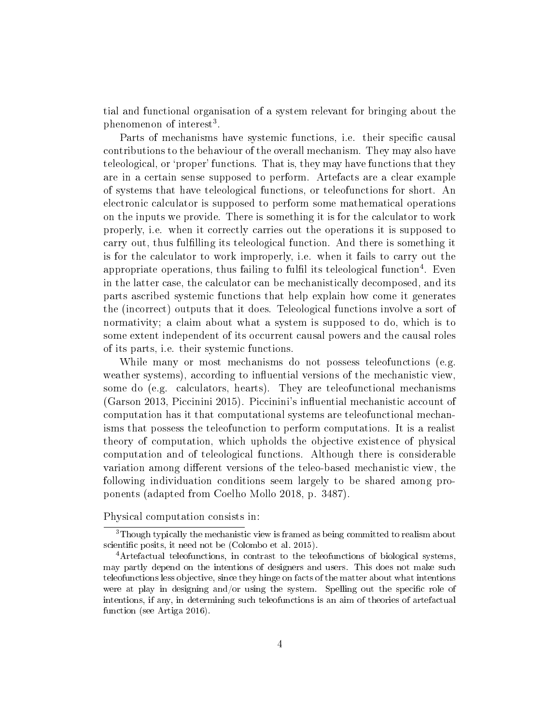tial and functional organisation of a system relevant for bringing about the phenomenon of interest<sup>3</sup>.

Parts of mechanisms have systemic functions, i.e. their specific causal contributions to the behaviour of the overall mechanism. They may also have teleological, or `proper' functions. That is, they may have functions that they are in a certain sense supposed to perform. Artefacts are a clear example of systems that have teleological functions, or teleofunctions for short. An electronic calculator is supposed to perform some mathematical operations on the inputs we provide. There is something it is for the calculator to work properly, i.e. when it correctly carries out the operations it is supposed to carry out, thus fullling its teleological function. And there is something it is for the calculator to work improperly, i.e. when it fails to carry out the appropriate operations, thus failing to fulfil its teleological function $^4$ . Even in the latter case, the calculator can be mechanistically decomposed, and its parts ascribed systemic functions that help explain how come it generates the (incorrect) outputs that it does. Teleological functions involve a sort of normativity; a claim about what a system is supposed to do, which is to some extent independent of its occurrent causal powers and the causal roles of its parts, i.e. their systemic functions.

While many or most mechanisms do not possess teleofunctions (e.g. weather systems), according to influential versions of the mechanistic view, some do (e.g. calculators, hearts). They are teleofunctional mechanisms (Garson 2013, Piccinini 2015). Piccinini's influential mechanistic account of computation has it that computational systems are teleofunctional mechanisms that possess the teleofunction to perform computations. It is a realist theory of computation, which upholds the objective existence of physical computation and of teleological functions. Although there is considerable variation among different versions of the teleo-based mechanistic view, the following individuation conditions seem largely to be shared among proponents (adapted from Coelho Mollo 2018, p. 3487).

#### Physical computation consists in:

<sup>&</sup>lt;sup>3</sup>Though typically the mechanistic view is framed as being committed to realism about scientific posits, it need not be (Colombo et al. 2015).

<sup>4</sup>Artefactual teleofunctions, in contrast to the teleofunctions of biological systems, may partly depend on the intentions of designers and users. This does not make such teleofunctions less objective, since they hinge on facts of the matter about what intentions were at play in designing and/or using the system. Spelling out the specific role of intentions, if any, in determining such teleofunctions is an aim of theories of artefactual function (see Artiga 2016).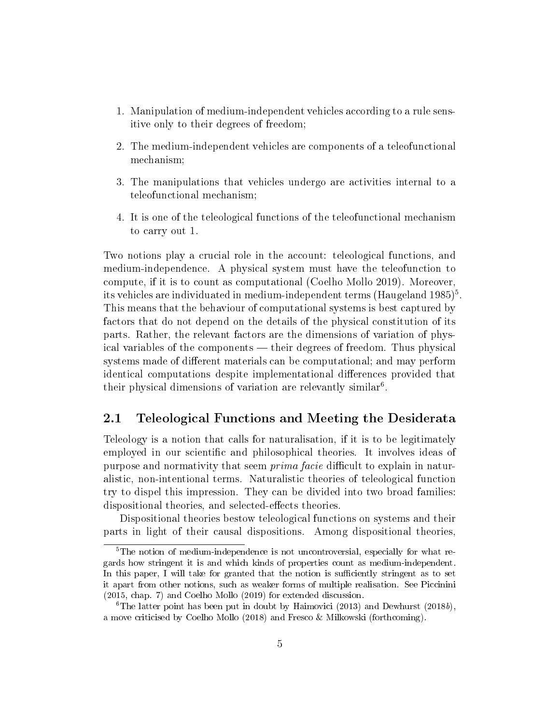- 1. Manipulation of medium-independent vehicles according to a rule sensitive only to their degrees of freedom;
- 2. The medium-independent vehicles are components of a teleofunctional mechanism;
- 3. The manipulations that vehicles undergo are activities internal to a teleofunctional mechanism;
- 4. It is one of the teleological functions of the teleofunctional mechanism to carry out 1.

Two notions play a crucial role in the account: teleological functions, and medium-independence. A physical system must have the teleofunction to compute, if it is to count as computational (Coelho Mollo 2019). Moreover, its vehicles are individuated in medium-independent terms (Haugeland 1985) $^5$ . This means that the behaviour of computational systems is best captured by factors that do not depend on the details of the physical constitution of its parts. Rather, the relevant factors are the dimensions of variation of physical variables of the components  $-$  their degrees of freedom. Thus physical systems made of different materials can be computational; and may perform identical computations despite implementational differences provided that their physical dimensions of variation are relevantly similar<sup>6</sup>.

### 2.1 Teleological Functions and Meeting the Desiderata

Teleology is a notion that calls for naturalisation, if it is to be legitimately employed in our scientific and philosophical theories. It involves ideas of purpose and normativity that seem *prima facie* difficult to explain in naturalistic, non-intentional terms. Naturalistic theories of teleological function try to dispel this impression. They can be divided into two broad families: dispositional theories, and selected-effects theories.

Dispositional theories bestow teleological functions on systems and their parts in light of their causal dispositions. Among dispositional theories,

<sup>&</sup>lt;sup>5</sup>The notion of medium-independence is not uncontroversial, especially for what regards how stringent it is and which kinds of properties count as medium-independent. In this paper, I will take for granted that the notion is sufficiently stringent as to set it apart from other notions, such as weaker forms of multiple realisation. See Piccinini (2015, chap. 7) and Coelho Mollo (2019) for extended discussion.

<sup>&</sup>lt;sup>6</sup>The latter point has been put in doubt by Haimovici (2013) and Dewhurst (2018b), a move criticised by Coelho Mollo (2018) and Fresco & Milkowski (forthcoming).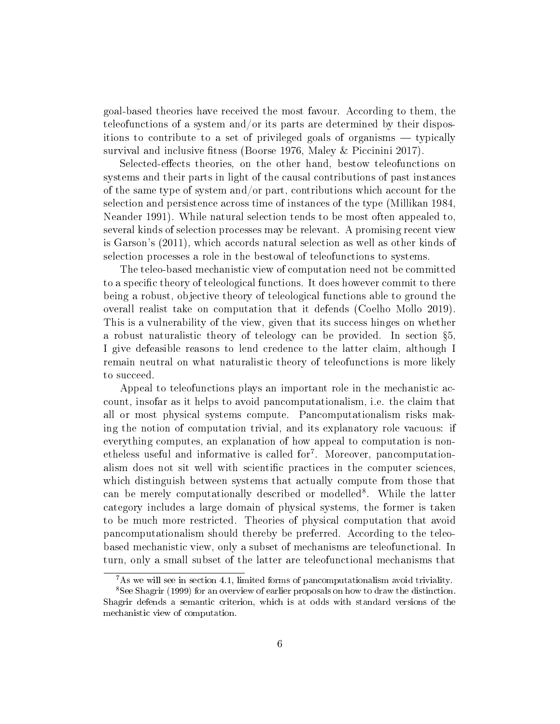goal-based theories have received the most favour. According to them, the teleofunctions of a system and/or its parts are determined by their dispositions to contribute to a set of privileged goals of organisms  $-$  typically survival and inclusive fitness (Boorse 1976, Maley & Piccinini 2017).

Selected-effects theories, on the other hand, bestow teleofunctions on systems and their parts in light of the causal contributions of past instances of the same type of system and/or part, contributions which account for the selection and persistence across time of instances of the type (Millikan 1984, Neander 1991). While natural selection tends to be most often appealed to, several kinds of selection processes may be relevant. A promising recent view is Garson's (2011), which accords natural selection as well as other kinds of selection processes a role in the bestowal of teleofunctions to systems.

The teleo-based mechanistic view of computation need not be committed to a specific theory of teleological functions. It does however commit to there being a robust, objective theory of teleological functions able to ground the overall realist take on computation that it defends (Coelho Mollo 2019). This is a vulnerability of the view, given that its success hinges on whether a robust naturalistic theory of teleology can be provided. In section §5, I give defeasible reasons to lend credence to the latter claim, although I remain neutral on what naturalistic theory of teleofunctions is more likely to succeed.

Appeal to teleofunctions plays an important role in the mechanistic account, insofar as it helps to avoid pancomputationalism, i.e. the claim that all or most physical systems compute. Pancomputationalism risks making the notion of computation trivial, and its explanatory role vacuous: if everything computes, an explanation of how appeal to computation is nonetheless useful and informative is called for<sup>7</sup>. Moreover, pancomputationalism does not sit well with scientific practices in the computer sciences, which distinguish between systems that actually compute from those that can be merely computationally described or modelled<sup>8</sup>. While the latter category includes a large domain of physical systems, the former is taken to be much more restricted. Theories of physical computation that avoid pancomputationalism should thereby be preferred. According to the teleobased mechanistic view, only a subset of mechanisms are teleofunctional. In turn, only a small subset of the latter are teleofunctional mechanisms that

<sup>7</sup>As we will see in section 4.1, limited forms of pancomputationalism avoid triviality.

<sup>8</sup>See Shagrir (1999) for an overview of earlier proposals on how to draw the distinction. Shagrir defends a semantic criterion, which is at odds with standard versions of the mechanistic view of computation.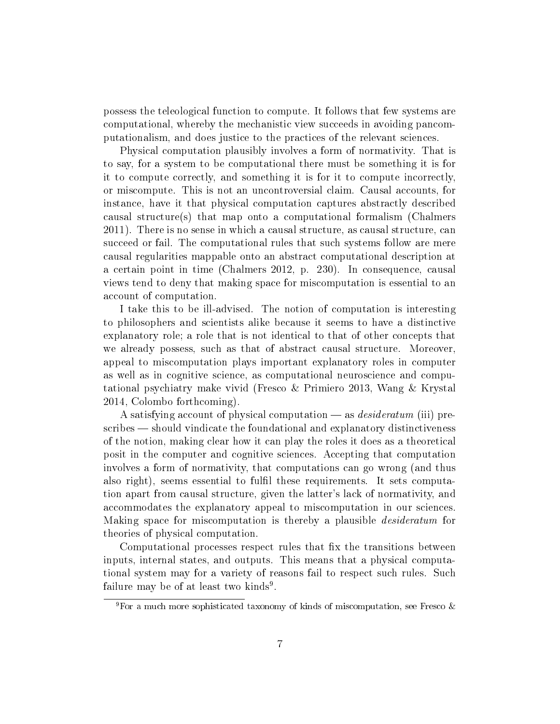possess the teleological function to compute. It follows that few systems are computational, whereby the mechanistic view succeeds in avoiding pancomputationalism, and does justice to the practices of the relevant sciences.

Physical computation plausibly involves a form of normativity. That is to say, for a system to be computational there must be something it is for it to compute correctly, and something it is for it to compute incorrectly, or miscompute. This is not an uncontroversial claim. Causal accounts, for instance, have it that physical computation captures abstractly described causal structure(s) that map onto a computational formalism (Chalmers 2011). There is no sense in which a causal structure, as causal structure, can succeed or fail. The computational rules that such systems follow are mere causal regularities mappable onto an abstract computational description at a certain point in time (Chalmers 2012, p. 230). In consequence, causal views tend to deny that making space for miscomputation is essential to an account of computation.

I take this to be ill-advised. The notion of computation is interesting to philosophers and scientists alike because it seems to have a distinctive explanatory role; a role that is not identical to that of other concepts that we already possess, such as that of abstract causal structure. Moreover, appeal to miscomputation plays important explanatory roles in computer as well as in cognitive science, as computational neuroscience and computational psychiatry make vivid (Fresco & Primiero 2013, Wang & Krystal 2014, Colombo forthcoming).

A satisfying account of physical computation  $-\text{ as } *desideratum*$  (iii) prescribes — should vindicate the foundational and explanatory distinctiveness of the notion, making clear how it can play the roles it does as a theoretical posit in the computer and cognitive sciences. Accepting that computation involves a form of normativity, that computations can go wrong (and thus also right), seems essential to fulfil these requirements. It sets computation apart from causal structure, given the latter's lack of normativity, and accommodates the explanatory appeal to miscomputation in our sciences. Making space for miscomputation is thereby a plausible desideratum for theories of physical computation.

Computational processes respect rules that fix the transitions between inputs, internal states, and outputs. This means that a physical computational system may for a variety of reasons fail to respect such rules. Such failure may be of at least two kinds<sup>9</sup>.

<sup>&</sup>lt;sup>9</sup>For a much more sophisticated taxonomy of kinds of miscomputation, see Fresco &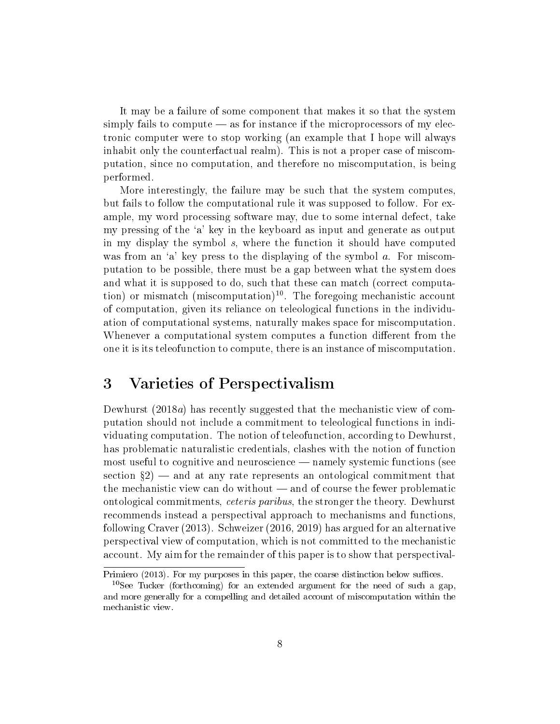It may be a failure of some component that makes it so that the system simply fails to compute  $\sim$  as for instance if the microprocessors of my electronic computer were to stop working (an example that I hope will always inhabit only the counterfactual realm). This is not a proper case of miscomputation, since no computation, and therefore no miscomputation, is being performed.

More interestingly, the failure may be such that the system computes, but fails to follow the computational rule it was supposed to follow. For example, my word processing software may, due to some internal defect, take my pressing of the `a' key in the keyboard as input and generate as output in my display the symbol s, where the function it should have computed was from an 'a' key press to the displaying of the symbol  $a$ . For miscomputation to be possible, there must be a gap between what the system does and what it is supposed to do, such that these can match (correct computation) or mismatch (miscomputation)<sup>10</sup>. The foregoing mechanistic account of computation, given its reliance on teleological functions in the individuation of computational systems, naturally makes space for miscomputation. Whenever a computational system computes a function different from the one it is its teleofunction to compute, there is an instance of miscomputation.

## 3 Varieties of Perspectivalism

Dewhurst (2018a) has recently suggested that the mechanistic view of computation should not include a commitment to teleological functions in individuating computation. The notion of teleofunction, according to Dewhurst, has problematic naturalistic credentials, clashes with the notion of function most useful to cognitive and neuroscience namely systemic functions (see section  $\S2$  – and at any rate represents an ontological commitment that the mechanistic view can do without  $-$  and of course the fewer problematic ontological commitments, ceteris paribus, the stronger the theory. Dewhurst recommends instead a perspectival approach to mechanisms and functions, following Craver (2013). Schweizer (2016, 2019) has argued for an alternative perspectival view of computation, which is not committed to the mechanistic account. My aim for the remainder of this paper is to show that perspectival-

Primiero (2013). For my purposes in this paper, the coarse distinction below suffices.

<sup>&</sup>lt;sup>10</sup>See Tucker (forthcoming) for an extended argument for the need of such a gap, and more generally for a compelling and detailed account of miscomputation within the mechanistic view.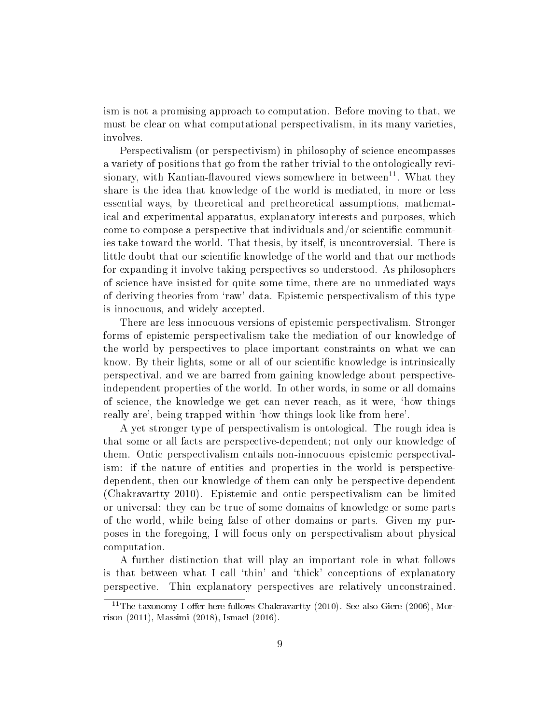ism is not a promising approach to computation. Before moving to that, we must be clear on what computational perspectivalism, in its many varieties, involves.

Perspectivalism (or perspectivism) in philosophy of science encompasses a variety of positions that go from the rather trivial to the ontologically revisionary, with Kantian-flavoured views somewhere in between<sup>11</sup>. What they share is the idea that knowledge of the world is mediated, in more or less essential ways, by theoretical and pretheoretical assumptions, mathematical and experimental apparatus, explanatory interests and purposes, which come to compose a perspective that individuals and/or scientific communities take toward the world. That thesis, by itself, is uncontroversial. There is little doubt that our scientific knowledge of the world and that our methods for expanding it involve taking perspectives so understood. As philosophers of science have insisted for quite some time, there are no unmediated ways of deriving theories from `raw' data. Epistemic perspectivalism of this type is innocuous, and widely accepted.

There are less innocuous versions of epistemic perspectivalism. Stronger forms of epistemic perspectivalism take the mediation of our knowledge of the world by perspectives to place important constraints on what we can know. By their lights, some or all of our scientific knowledge is intrinsically perspectival, and we are barred from gaining knowledge about perspectiveindependent properties of the world. In other words, in some or all domains of science, the knowledge we get can never reach, as it were, `how things really are', being trapped within `how things look like from here'.

A yet stronger type of perspectivalism is ontological. The rough idea is that some or all facts are perspective-dependent; not only our knowledge of them. Ontic perspectivalism entails non-innocuous epistemic perspectivalism: if the nature of entities and properties in the world is perspectivedependent, then our knowledge of them can only be perspective-dependent (Chakravartty 2010). Epistemic and ontic perspectivalism can be limited or universal: they can be true of some domains of knowledge or some parts of the world, while being false of other domains or parts. Given my purposes in the foregoing, I will focus only on perspectivalism about physical computation.

A further distinction that will play an important role in what follows is that between what I call 'thin' and 'thick' conceptions of explanatory perspective. Thin explanatory perspectives are relatively unconstrained.

<sup>&</sup>lt;sup>11</sup>The taxonomy I offer here follows Chakravartty (2010). See also Giere (2006), Morrison (2011), Massimi (2018), Ismael (2016).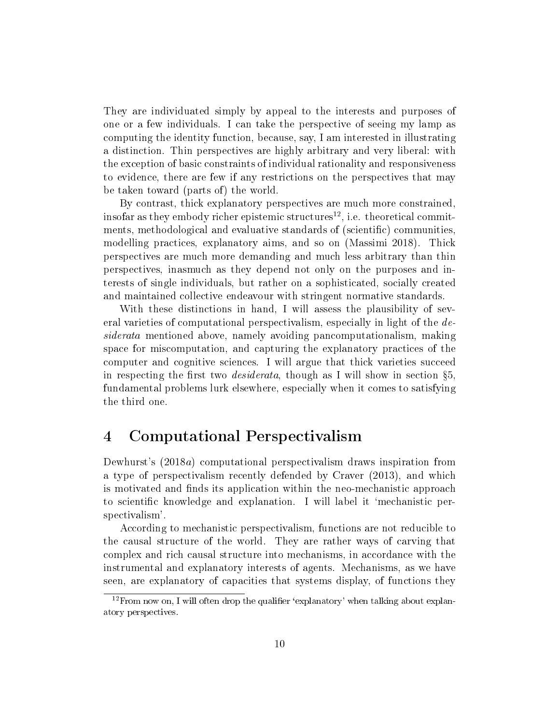They are individuated simply by appeal to the interests and purposes of one or a few individuals. I can take the perspective of seeing my lamp as computing the identity function, because, say, I am interested in illustrating a distinction. Thin perspectives are highly arbitrary and very liberal: with the exception of basic constraints of individual rationality and responsiveness to evidence, there are few if any restrictions on the perspectives that may be taken toward (parts of) the world.

By contrast, thick explanatory perspectives are much more constrained, insofar as they embody richer epistemic structures<sup>12</sup>, i.e. theoretical commitments, methodological and evaluative standards of (scientific) communities, modelling practices, explanatory aims, and so on (Massimi 2018). Thick perspectives are much more demanding and much less arbitrary than thin perspectives, inasmuch as they depend not only on the purposes and interests of single individuals, but rather on a sophisticated, socially created and maintained collective endeavour with stringent normative standards.

With these distinctions in hand, I will assess the plausibility of several varieties of computational perspectivalism, especially in light of the desiderata mentioned above, namely avoiding pancomputationalism, making space for miscomputation, and capturing the explanatory practices of the computer and cognitive sciences. I will argue that thick varieties succeed in respecting the first two *desiderata*, though as I will show in section  $\S5$ , fundamental problems lurk elsewhere, especially when it comes to satisfying the third one.

### 4 Computational Perspectivalism

Dewhurst's (2018a) computational perspectivalism draws inspiration from a type of perspectivalism recently defended by Craver (2013), and which is motivated and finds its application within the neo-mechanistic approach to scientific knowledge and explanation. I will label it 'mechanistic perspectivalism'.

According to mechanistic perspectivalism, functions are not reducible to the causal structure of the world. They are rather ways of carving that complex and rich causal structure into mechanisms, in accordance with the instrumental and explanatory interests of agents. Mechanisms, as we have seen, are explanatory of capacities that systems display, of functions they

<sup>&</sup>lt;sup>12</sup>From now on, I will often drop the qualifier 'explanatory' when talking about explanatory perspectives.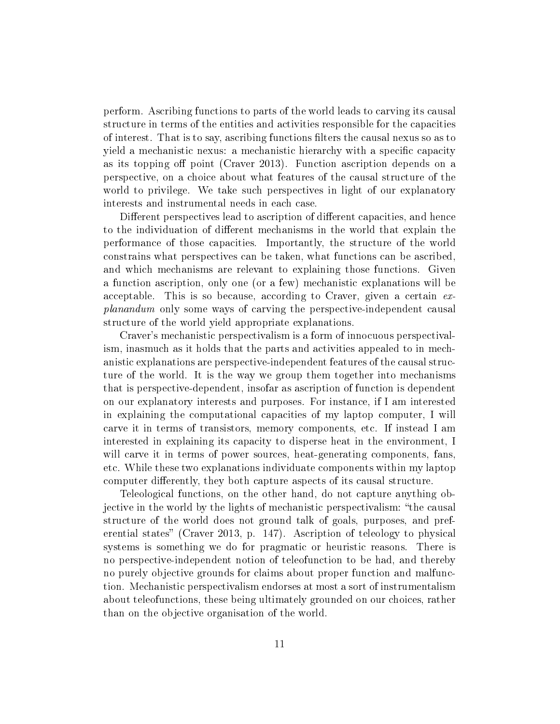perform. Ascribing functions to parts of the world leads to carving its causal structure in terms of the entities and activities responsible for the capacities of interest. That is to say, ascribing functions lters the causal nexus so as to yield a mechanistic nexus: a mechanistic hierarchy with a specific capacity as its topping off point (Craver 2013). Function ascription depends on a perspective, on a choice about what features of the causal structure of the world to privilege. We take such perspectives in light of our explanatory interests and instrumental needs in each case.

Different perspectives lead to ascription of different capacities, and hence to the individuation of dierent mechanisms in the world that explain the performance of those capacities. Importantly, the structure of the world constrains what perspectives can be taken, what functions can be ascribed, and which mechanisms are relevant to explaining those functions. Given a function ascription, only one (or a few) mechanistic explanations will be acceptable. This is so because, according to Craver, given a certain explanandum only some ways of carving the perspective-independent causal structure of the world yield appropriate explanations.

Craver's mechanistic perspectivalism is a form of innocuous perspectivalism, inasmuch as it holds that the parts and activities appealed to in mechanistic explanations are perspective-independent features of the causal structure of the world. It is the way we group them together into mechanisms that is perspective-dependent, insofar as ascription of function is dependent on our explanatory interests and purposes. For instance, if I am interested in explaining the computational capacities of my laptop computer, I will carve it in terms of transistors, memory components, etc. If instead I am interested in explaining its capacity to disperse heat in the environment, I will carve it in terms of power sources, heat-generating components, fans, etc. While these two explanations individuate components within my laptop computer differently, they both capture aspects of its causal structure.

Teleological functions, on the other hand, do not capture anything objective in the world by the lights of mechanistic perspectivalism: "the causal structure of the world does not ground talk of goals, purposes, and preferential states" (Craver 2013, p. 147). Ascription of teleology to physical systems is something we do for pragmatic or heuristic reasons. There is no perspective-independent notion of teleofunction to be had, and thereby no purely objective grounds for claims about proper function and malfunction. Mechanistic perspectivalism endorses at most a sort of instrumentalism about teleofunctions, these being ultimately grounded on our choices, rather than on the objective organisation of the world.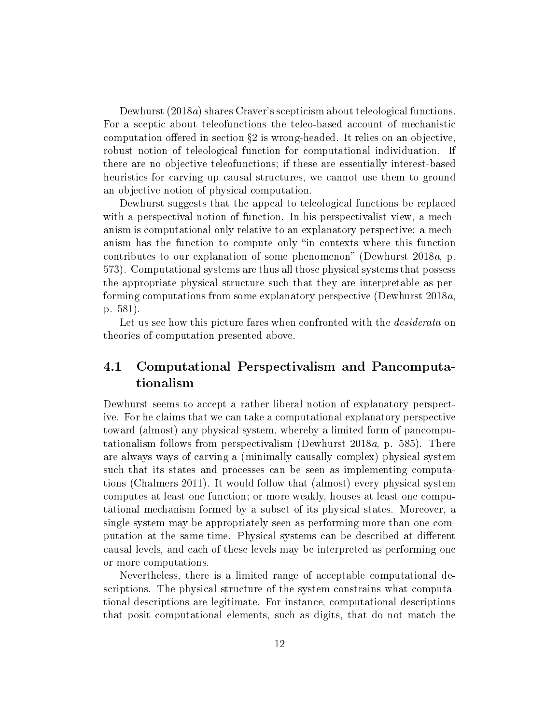Dewhurst (2018a) shares Craver's scepticism about teleological functions. For a sceptic about teleofunctions the teleo-based account of mechanistic computation offered in section  $\S2$  is wrong-headed. It relies on an objective, robust notion of teleological function for computational individuation. If there are no objective teleofunctions; if these are essentially interest-based heuristics for carving up causal structures, we cannot use them to ground an objective notion of physical computation.

Dewhurst suggests that the appeal to teleological functions be replaced with a perspectival notion of function. In his perspectivalist view, a mechanism is computational only relative to an explanatory perspective: a mechanism has the function to compute only "in contexts where this function contributes to our explanation of some phenomenon" (Dewhurst 2018a, p. 573). Computational systems are thus all those physical systems that possess the appropriate physical structure such that they are interpretable as performing computations from some explanatory perspective (Dewhurst 2018a, p. 581).

Let us see how this picture fares when confronted with the *desiderata* on theories of computation presented above.

### 4.1 Computational Perspectivalism and Pancomputationalism

Dewhurst seems to accept a rather liberal notion of explanatory perspective. For he claims that we can take a computational explanatory perspective toward (almost) any physical system, whereby a limited form of pancomputationalism follows from perspectivalism (Dewhurst 2018a, p. 585). There are always ways of carving a (minimally causally complex) physical system such that its states and processes can be seen as implementing computations (Chalmers 2011). It would follow that (almost) every physical system computes at least one function; or more weakly, houses at least one computational mechanism formed by a subset of its physical states. Moreover, a single system may be appropriately seen as performing more than one computation at the same time. Physical systems can be described at different causal levels, and each of these levels may be interpreted as performing one or more computations.

Nevertheless, there is a limited range of acceptable computational descriptions. The physical structure of the system constrains what computational descriptions are legitimate. For instance, computational descriptions that posit computational elements, such as digits, that do not match the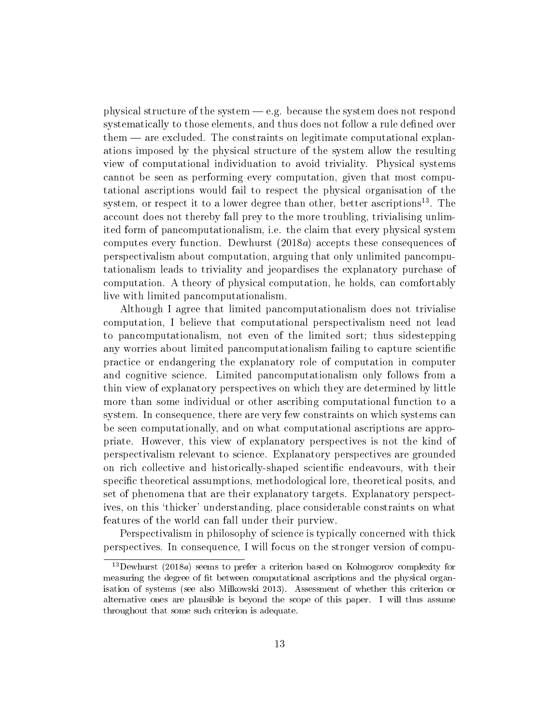physical structure of the system e.g. because the system does not respond systematically to those elements, and thus does not follow a rule defined over  $them \text{---}$  are excluded. The constraints on legitimate computational explanations imposed by the physical structure of the system allow the resulting view of computational individuation to avoid triviality. Physical systems cannot be seen as performing every computation, given that most computational ascriptions would fail to respect the physical organisation of the system, or respect it to a lower degree than other, better ascriptions $^{13}$ . The account does not thereby fall prey to the more troubling, trivialising unlimited form of pancomputationalism, i.e. the claim that every physical system computes every function. Dewhurst (2018a) accepts these consequences of perspectivalism about computation, arguing that only unlimited pancomputationalism leads to triviality and jeopardises the explanatory purchase of computation. A theory of physical computation, he holds, can comfortably live with limited pancomputationalism.

Although I agree that limited pancomputationalism does not trivialise computation, I believe that computational perspectivalism need not lead to pancomputationalism, not even of the limited sort; thus sidestepping any worries about limited pancomputationalism failing to capture scientific practice or endangering the explanatory role of computation in computer and cognitive science. Limited pancomputationalism only follows from a thin view of explanatory perspectives on which they are determined by little more than some individual or other ascribing computational function to a system. In consequence, there are very few constraints on which systems can be seen computationally, and on what computational ascriptions are appropriate. However, this view of explanatory perspectives is not the kind of perspectivalism relevant to science. Explanatory perspectives are grounded on rich collective and historically-shaped scientific endeavours, with their specific theoretical assumptions, methodological lore, theoretical posits, and set of phenomena that are their explanatory targets. Explanatory perspectives, on this 'thicker' understanding, place considerable constraints on what features of the world can fall under their purview.

Perspectivalism in philosophy of science is typically concerned with thick perspectives. In consequence, I will focus on the stronger version of compu-

<sup>&</sup>lt;sup>13</sup>Dewhurst (2018a) seems to prefer a criterion based on Kolmogorov complexity for measuring the degree of fit between computational ascriptions and the physical organisation of systems (see also Milkowski 2013). Assessment of whether this criterion or alternative ones are plausible is beyond the scope of this paper. I will thus assume throughout that some such criterion is adequate.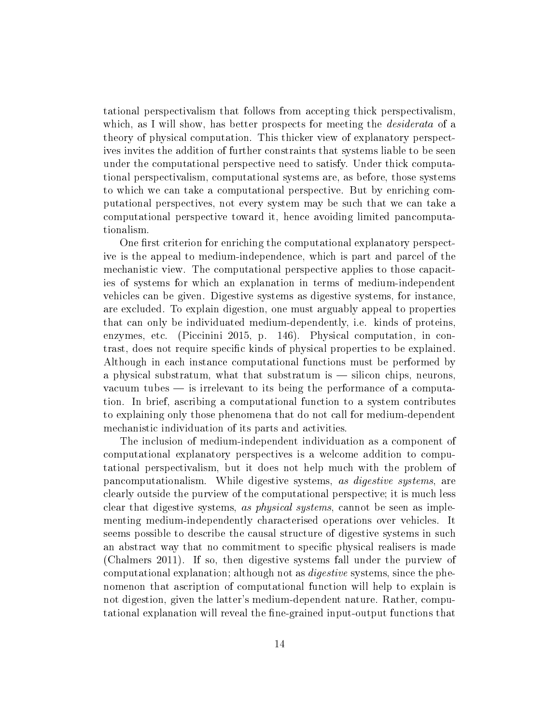tational perspectivalism that follows from accepting thick perspectivalism, which, as I will show, has better prospects for meeting the *desiderata* of a theory of physical computation. This thicker view of explanatory perspectives invites the addition of further constraints that systems liable to be seen under the computational perspective need to satisfy. Under thick computational perspectivalism, computational systems are, as before, those systems to which we can take a computational perspective. But by enriching computational perspectives, not every system may be such that we can take a computational perspective toward it, hence avoiding limited pancomputationalism.

One first criterion for enriching the computational explanatory perspective is the appeal to medium-independence, which is part and parcel of the mechanistic view. The computational perspective applies to those capacities of systems for which an explanation in terms of medium-independent vehicles can be given. Digestive systems as digestive systems, for instance, are excluded. To explain digestion, one must arguably appeal to properties that can only be individuated medium-dependently, i.e. kinds of proteins, enzymes, etc. (Piccinini 2015, p. 146). Physical computation, in contrast, does not require specific kinds of physical properties to be explained. Although in each instance computational functions must be performed by a physical substratum, what that substratum is  $-$  silicon chips, neurons, vacuum tubes  $-$  is irrelevant to its being the performance of a computation. In brief, ascribing a computational function to a system contributes to explaining only those phenomena that do not call for medium-dependent mechanistic individuation of its parts and activities.

The inclusion of medium-independent individuation as a component of computational explanatory perspectives is a welcome addition to computational perspectivalism, but it does not help much with the problem of pancomputationalism. While digestive systems, as digestive systems, are clearly outside the purview of the computational perspective; it is much less clear that digestive systems, as physical systems, cannot be seen as implementing medium-independently characterised operations over vehicles. It seems possible to describe the causal structure of digestive systems in such an abstract way that no commitment to specific physical realisers is made (Chalmers 2011). If so, then digestive systems fall under the purview of computational explanation; although not as digestive systems, since the phenomenon that ascription of computational function will help to explain is not digestion, given the latter's medium-dependent nature. Rather, computational explanation will reveal the ne-grained input-output functions that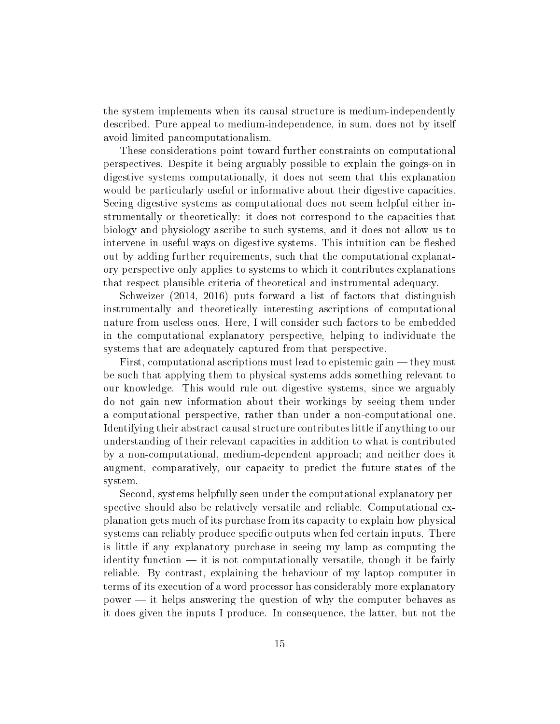the system implements when its causal structure is medium-independently described. Pure appeal to medium-independence, in sum, does not by itself avoid limited pancomputationalism.

These considerations point toward further constraints on computational perspectives. Despite it being arguably possible to explain the goings-on in digestive systems computationally, it does not seem that this explanation would be particularly useful or informative about their digestive capacities. Seeing digestive systems as computational does not seem helpful either instrumentally or theoretically: it does not correspond to the capacities that biology and physiology ascribe to such systems, and it does not allow us to intervene in useful ways on digestive systems. This intuition can be fleshed out by adding further requirements, such that the computational explanatory perspective only applies to systems to which it contributes explanations that respect plausible criteria of theoretical and instrumental adequacy.

Schweizer (2014, 2016) puts forward a list of factors that distinguish instrumentally and theoretically interesting ascriptions of computational nature from useless ones. Here, I will consider such factors to be embedded in the computational explanatory perspective, helping to individuate the systems that are adequately captured from that perspective.

First, computational ascriptions must lead to epistemic gain  $-$  they must be such that applying them to physical systems adds something relevant to our knowledge. This would rule out digestive systems, since we arguably do not gain new information about their workings by seeing them under a computational perspective, rather than under a non-computational one. Identifying their abstract causal structure contributes little if anything to our understanding of their relevant capacities in addition to what is contributed by a non-computational, medium-dependent approach; and neither does it augment, comparatively, our capacity to predict the future states of the system.

Second, systems helpfully seen under the computational explanatory perspective should also be relatively versatile and reliable. Computational explanation gets much of its purchase from its capacity to explain how physical systems can reliably produce specific outputs when fed certain inputs. There is little if any explanatory purchase in seeing my lamp as computing the identity function  $\frac{d}{dx}$  is not computationally versatile, though it be fairly reliable. By contrast, explaining the behaviour of my laptop computer in terms of its execution of a word processor has considerably more explanatory  $power - it$  helps answering the question of why the computer behaves as it does given the inputs I produce. In consequence, the latter, but not the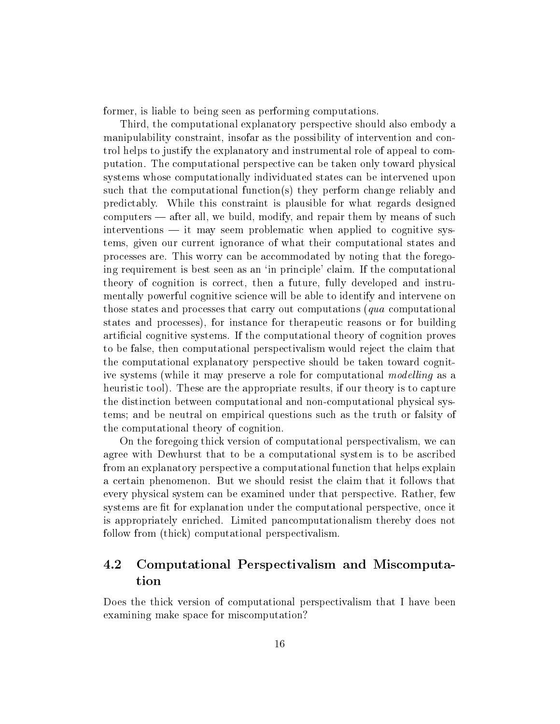former, is liable to being seen as performing computations.

Third, the computational explanatory perspective should also embody a manipulability constraint, insofar as the possibility of intervention and control helps to justify the explanatory and instrumental role of appeal to computation. The computational perspective can be taken only toward physical systems whose computationally individuated states can be intervened upon such that the computational function(s) they perform change reliably and predictably. While this constraint is plausible for what regards designed computers - after all, we build, modify, and repair them by means of such interventions  $\frac{1}{\sqrt{1-\frac{1}{\sqrt{1-\frac{1}{\sqrt{1-\frac{1}{\sqrt{1-\frac{1}{\sqrt{1-\frac{1}{\sqrt{1-\frac{1}{\sqrt{1-\frac{1}{\sqrt{1-\frac{1}{\sqrt{1-\frac{1}{\sqrt{1-\frac{1}{\sqrt{1-\frac{1}{\sqrt{1-\frac{1}{\sqrt{1-\frac{1}{\sqrt{1-\frac{1}{\sqrt{1-\frac{1}{\sqrt{1-\frac{1}{\sqrt{1-\frac{1}{\sqrt{1-\frac{1}{\sqrt{1-\frac{1}{\sqrt{1-\frac{1}{\sqrt{1-\frac{1}{\sqrt{1-\frac{1}{\sqrt{$ tems, given our current ignorance of what their computational states and processes are. This worry can be accommodated by noting that the foregoing requirement is best seen as an `in principle' claim. If the computational theory of cognition is correct, then a future, fully developed and instrumentally powerful cognitive science will be able to identify and intervene on those states and processes that carry out computations (qua computational states and processes), for instance for therapeutic reasons or for building artificial cognitive systems. If the computational theory of cognition proves to be false, then computational perspectivalism would reject the claim that the computational explanatory perspective should be taken toward cognitive systems (while it may preserve a role for computational modelling as a heuristic tool). These are the appropriate results, if our theory is to capture the distinction between computational and non-computational physical systems; and be neutral on empirical questions such as the truth or falsity of the computational theory of cognition.

On the foregoing thick version of computational perspectivalism, we can agree with Dewhurst that to be a computational system is to be ascribed from an explanatory perspective a computational function that helps explain a certain phenomenon. But we should resist the claim that it follows that every physical system can be examined under that perspective. Rather, few systems are fit for explanation under the computational perspective, once it is appropriately enriched. Limited pancomputationalism thereby does not follow from (thick) computational perspectivalism.

### 4.2 Computational Perspectivalism and Miscomputation

Does the thick version of computational perspectivalism that I have been examining make space for miscomputation?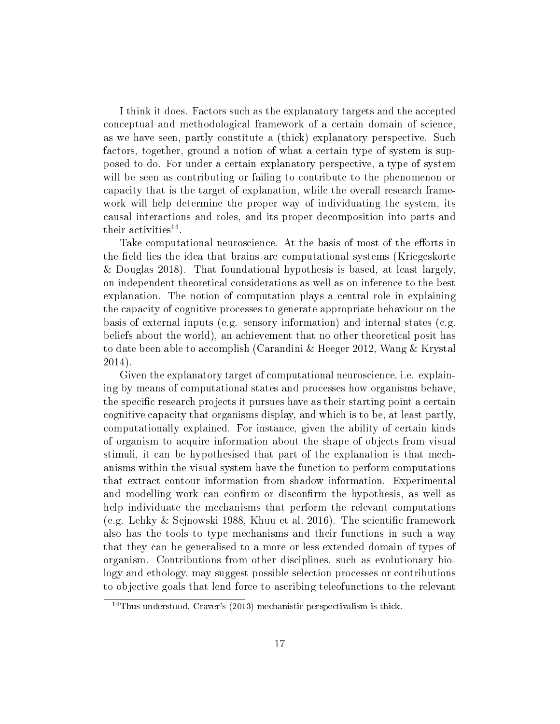I think it does. Factors such as the explanatory targets and the accepted conceptual and methodological framework of a certain domain of science, as we have seen, partly constitute a (thick) explanatory perspective. Such factors, together, ground a notion of what a certain type of system is supposed to do. For under a certain explanatory perspective, a type of system will be seen as contributing or failing to contribute to the phenomenon or capacity that is the target of explanation, while the overall research framework will help determine the proper way of individuating the system, its causal interactions and roles, and its proper decomposition into parts and their activities<sup>14</sup>.

Take computational neuroscience. At the basis of most of the efforts in the field lies the idea that brains are computational systems (Kriegeskorte & Douglas 2018). That foundational hypothesis is based, at least largely, on independent theoretical considerations as well as on inference to the best explanation. The notion of computation plays a central role in explaining the capacity of cognitive processes to generate appropriate behaviour on the basis of external inputs (e.g. sensory information) and internal states (e.g. beliefs about the world), an achievement that no other theoretical posit has to date been able to accomplish (Carandini & Heeger 2012, Wang & Krystal 2014).

Given the explanatory target of computational neuroscience, i.e. explaining by means of computational states and processes how organisms behave, the specific research projects it pursues have as their starting point a certain cognitive capacity that organisms display, and which is to be, at least partly, computationally explained. For instance, given the ability of certain kinds of organism to acquire information about the shape of objects from visual stimuli, it can be hypothesised that part of the explanation is that mechanisms within the visual system have the function to perform computations that extract contour information from shadow information. Experimental and modelling work can confirm or disconfirm the hypothesis, as well as help individuate the mechanisms that perform the relevant computations (e.g. Lehky & Sejnowski 1988, Khuu et al. 2016). The scientific framework also has the tools to type mechanisms and their functions in such a way that they can be generalised to a more or less extended domain of types of organism. Contributions from other disciplines, such as evolutionary biology and ethology, may suggest possible selection processes or contributions to objective goals that lend force to ascribing teleofunctions to the relevant

<sup>14</sup>Thus understood, Craver's (2013) mechanistic perspectivalism is thick.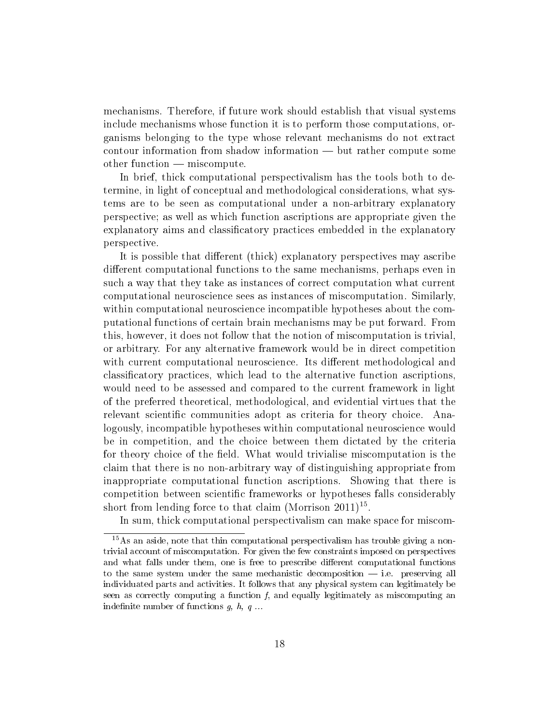mechanisms. Therefore, if future work should establish that visual systems include mechanisms whose function it is to perform those computations, organisms belonging to the type whose relevant mechanisms do not extract  $\alpha$  contour information from shadow information  $\sim$  but rather compute some  $other function — miscompute.$ 

In brief, thick computational perspectivalism has the tools both to determine, in light of conceptual and methodological considerations, what systems are to be seen as computational under a non-arbitrary explanatory perspective; as well as which function ascriptions are appropriate given the explanatory aims and classicatory practices embedded in the explanatory perspective.

It is possible that different (thick) explanatory perspectives may ascribe different computational functions to the same mechanisms, perhaps even in such a way that they take as instances of correct computation what current computational neuroscience sees as instances of miscomputation. Similarly, within computational neuroscience incompatible hypotheses about the computational functions of certain brain mechanisms may be put forward. From this, however, it does not follow that the notion of miscomputation is trivial, or arbitrary. For any alternative framework would be in direct competition with current computational neuroscience. Its different methodological and classicatory practices, which lead to the alternative function ascriptions, would need to be assessed and compared to the current framework in light of the preferred theoretical, methodological, and evidential virtues that the relevant scientific communities adopt as criteria for theory choice. Analogously, incompatible hypotheses within computational neuroscience would be in competition, and the choice between them dictated by the criteria for theory choice of the field. What would trivialise miscomputation is the claim that there is no non-arbitrary way of distinguishing appropriate from inappropriate computational function ascriptions. Showing that there is competition between scientic frameworks or hypotheses falls considerably short from lending force to that claim (Morrison  $2011$ )<sup>15</sup>.

In sum, thick computational perspectivalism can make space for miscom-

<sup>15</sup>As an aside, note that thin computational perspectivalism has trouble giving a nontrivial account of miscomputation. For given the few constraints imposed on perspectives and what falls under them, one is free to prescribe different computational functions to the same system under the same mechanistic decomposition  $-$  i.e. preserving all individuated parts and activities. It follows that any physical system can legitimately be seen as correctly computing a function  $f$ , and equally legitimately as miscomputing an indefinite number of functions  $q, h, q...$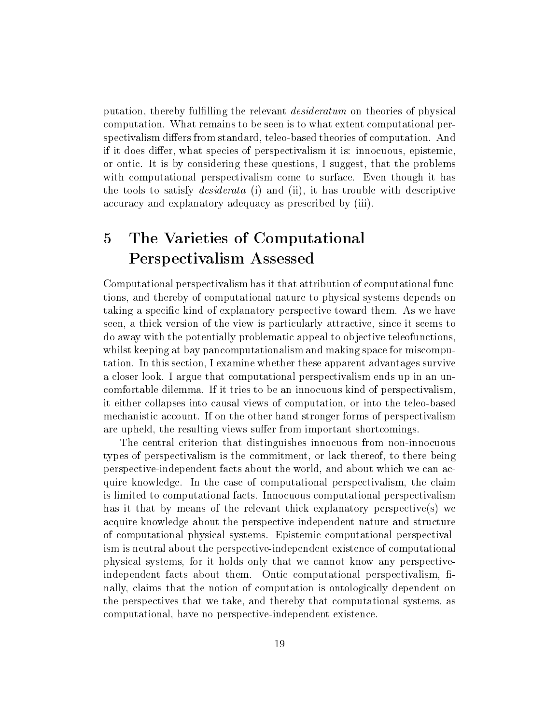putation, thereby fullling the relevant desideratum on theories of physical computation. What remains to be seen is to what extent computational perspectivalism differs from standard, teleo-based theories of computation. And if it does differ, what species of perspectivalism it is: innocuous, epistemic, or ontic. It is by considering these questions, I suggest, that the problems with computational perspectivalism come to surface. Even though it has the tools to satisfy desiderata (i) and (ii), it has trouble with descriptive accuracy and explanatory adequacy as prescribed by (iii).

# 5 The Varieties of Computational Perspectivalism Assessed

Computational perspectivalism has it that attribution of computational functions, and thereby of computational nature to physical systems depends on taking a specific kind of explanatory perspective toward them. As we have seen, a thick version of the view is particularly attractive, since it seems to do away with the potentially problematic appeal to objective teleofunctions, whilst keeping at bay pancomputationalism and making space for miscomputation. In this section, I examine whether these apparent advantages survive a closer look. I argue that computational perspectivalism ends up in an uncomfortable dilemma. If it tries to be an innocuous kind of perspectivalism, it either collapses into causal views of computation, or into the teleo-based mechanistic account. If on the other hand stronger forms of perspectivalism are upheld, the resulting views suffer from important shortcomings.

The central criterion that distinguishes innocuous from non-innocuous types of perspectivalism is the commitment, or lack thereof, to there being perspective-independent facts about the world, and about which we can acquire knowledge. In the case of computational perspectivalism, the claim is limited to computational facts. Innocuous computational perspectivalism has it that by means of the relevant thick explanatory perspective(s) we acquire knowledge about the perspective-independent nature and structure of computational physical systems. Epistemic computational perspectivalism is neutral about the perspective-independent existence of computational physical systems, for it holds only that we cannot know any perspectiveindependent facts about them. Ontic computational perspectivalism, finally, claims that the notion of computation is ontologically dependent on the perspectives that we take, and thereby that computational systems, as computational, have no perspective-independent existence.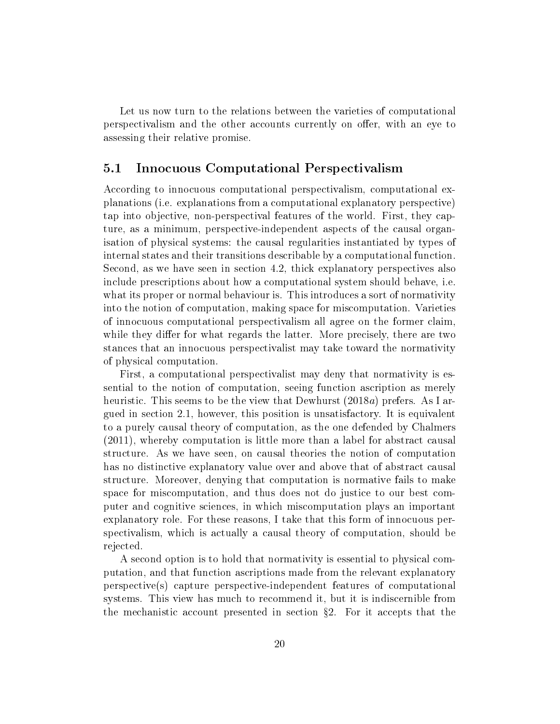Let us now turn to the relations between the varieties of computational perspectivalism and the other accounts currently on offer, with an eye to assessing their relative promise.

### 5.1 Innocuous Computational Perspectivalism

According to innocuous computational perspectivalism, computational explanations (i.e. explanations from a computational explanatory perspective) tap into objective, non-perspectival features of the world. First, they capture, as a minimum, perspective-independent aspects of the causal organisation of physical systems: the causal regularities instantiated by types of internal states and their transitions describable by a computational function. Second, as we have seen in section 4.2, thick explanatory perspectives also include prescriptions about how a computational system should behave, i.e. what its proper or normal behaviour is. This introduces a sort of normativity into the notion of computation, making space for miscomputation. Varieties of innocuous computational perspectivalism all agree on the former claim, while they differ for what regards the latter. More precisely, there are two stances that an innocuous perspectivalist may take toward the normativity of physical computation.

First, a computational perspectivalist may deny that normativity is essential to the notion of computation, seeing function ascription as merely heuristic. This seems to be the view that Dewhurst (2018a) prefers. As I argued in section 2.1, however, this position is unsatisfactory. It is equivalent to a purely causal theory of computation, as the one defended by Chalmers (2011), whereby computation is little more than a label for abstract causal structure. As we have seen, on causal theories the notion of computation has no distinctive explanatory value over and above that of abstract causal structure. Moreover, denying that computation is normative fails to make space for miscomputation, and thus does not do justice to our best computer and cognitive sciences, in which miscomputation plays an important explanatory role. For these reasons, I take that this form of innocuous perspectivalism, which is actually a causal theory of computation, should be rejected.

A second option is to hold that normativity is essential to physical computation, and that function ascriptions made from the relevant explanatory perspective(s) capture perspective-independent features of computational systems. This view has much to recommend it, but it is indiscernible from the mechanistic account presented in section 2. For it accepts that the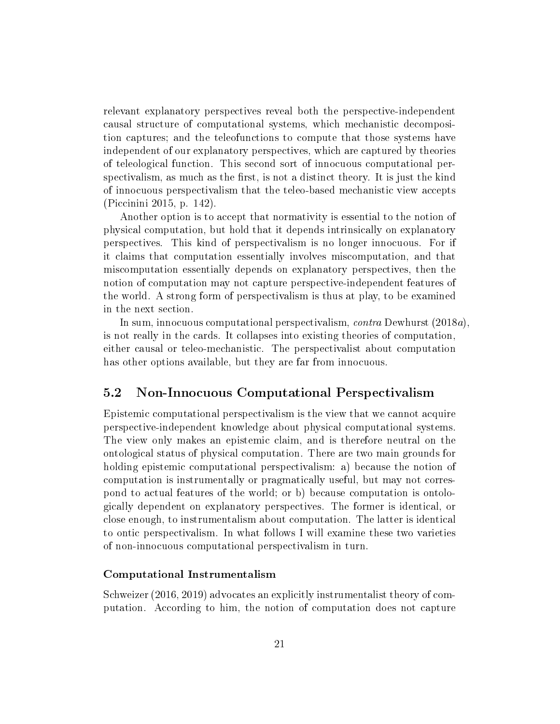relevant explanatory perspectives reveal both the perspective-independent causal structure of computational systems, which mechanistic decomposition captures; and the teleofunctions to compute that those systems have independent of our explanatory perspectives, which are captured by theories of teleological function. This second sort of innocuous computational perspectivalism, as much as the first, is not a distinct theory. It is just the kind of innocuous perspectivalism that the teleo-based mechanistic view accepts (Piccinini 2015, p. 142).

Another option is to accept that normativity is essential to the notion of physical computation, but hold that it depends intrinsically on explanatory perspectives. This kind of perspectivalism is no longer innocuous. For if it claims that computation essentially involves miscomputation, and that miscomputation essentially depends on explanatory perspectives, then the notion of computation may not capture perspective-independent features of the world. A strong form of perspectivalism is thus at play, to be examined in the next section.

In sum, innocuous computational perspectivalism, contra Dewhurst (2018a), is not really in the cards. It collapses into existing theories of computation, either causal or teleo-mechanistic. The perspectivalist about computation has other options available, but they are far from innocuous.

### 5.2 Non-Innocuous Computational Perspectivalism

Epistemic computational perspectivalism is the view that we cannot acquire perspective-independent knowledge about physical computational systems. The view only makes an epistemic claim, and is therefore neutral on the ontological status of physical computation. There are two main grounds for holding epistemic computational perspectivalism: a) because the notion of computation is instrumentally or pragmatically useful, but may not correspond to actual features of the world; or b) because computation is ontologically dependent on explanatory perspectives. The former is identical, or close enough, to instrumentalism about computation. The latter is identical to ontic perspectivalism. In what follows I will examine these two varieties of non-innocuous computational perspectivalism in turn.

#### Computational Instrumentalism

Schweizer (2016, 2019) advocates an explicitly instrumentalist theory of computation. According to him, the notion of computation does not capture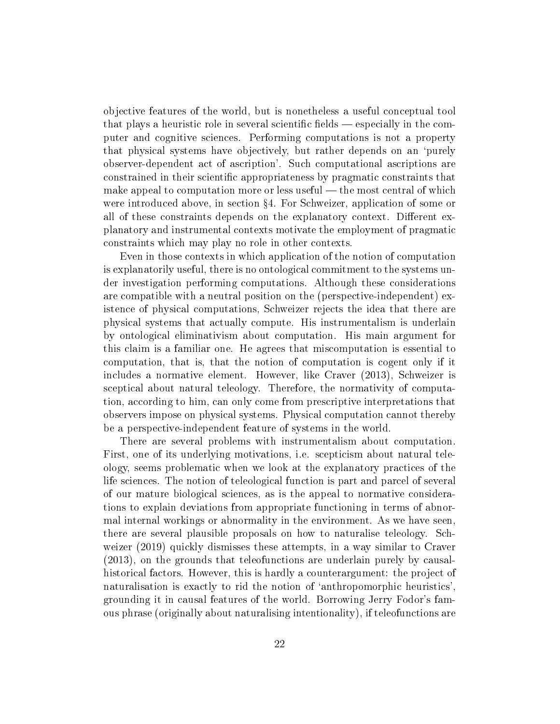objective features of the world, but is nonetheless a useful conceptual tool that plays a heuristic role in several scientific fields  $-$  especially in the computer and cognitive sciences. Performing computations is not a property that physical systems have objectively, but rather depends on an `purely observer-dependent act of ascription'. Such computational ascriptions are constrained in their scientic appropriateness by pragmatic constraints that make appeal to computation more or less useful  $-$  the most central of which were introduced above, in section §4. For Schweizer, application of some or all of these constraints depends on the explanatory context. Different explanatory and instrumental contexts motivate the employment of pragmatic constraints which may play no role in other contexts.

Even in those contexts in which application of the notion of computation is explanatorily useful, there is no ontological commitment to the systems under investigation performing computations. Although these considerations are compatible with a neutral position on the (perspective-independent) existence of physical computations, Schweizer rejects the idea that there are physical systems that actually compute. His instrumentalism is underlain by ontological eliminativism about computation. His main argument for this claim is a familiar one. He agrees that miscomputation is essential to computation, that is, that the notion of computation is cogent only if it includes a normative element. However, like Craver (2013), Schweizer is sceptical about natural teleology. Therefore, the normativity of computation, according to him, can only come from prescriptive interpretations that observers impose on physical systems. Physical computation cannot thereby be a perspective-independent feature of systems in the world.

There are several problems with instrumentalism about computation. First, one of its underlying motivations, i.e. scepticism about natural teleology, seems problematic when we look at the explanatory practices of the life sciences. The notion of teleological function is part and parcel of several of our mature biological sciences, as is the appeal to normative considerations to explain deviations from appropriate functioning in terms of abnormal internal workings or abnormality in the environment. As we have seen, there are several plausible proposals on how to naturalise teleology. Schweizer (2019) quickly dismisses these attempts, in a way similar to Craver (2013), on the grounds that teleofunctions are underlain purely by causalhistorical factors. However, this is hardly a counterargument: the project of naturalisation is exactly to rid the notion of 'anthropomorphic heuristics', grounding it in causal features of the world. Borrowing Jerry Fodor's famous phrase (originally about naturalising intentionality), if teleofunctions are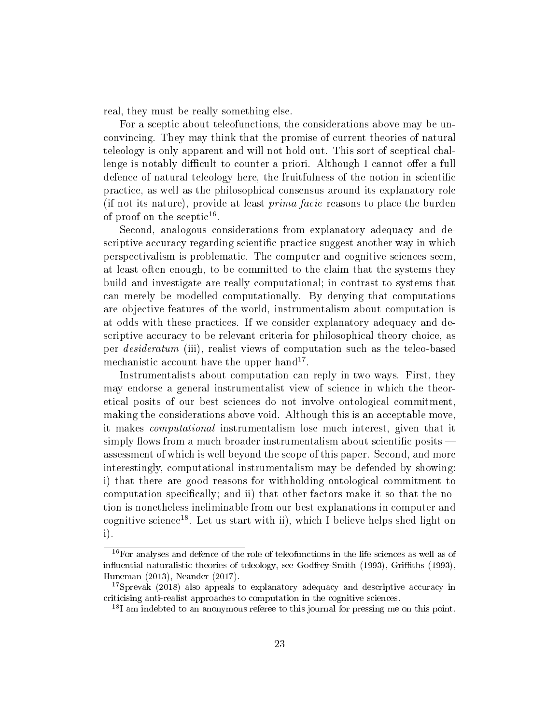real, they must be really something else.

For a sceptic about teleofunctions, the considerations above may be unconvincing. They may think that the promise of current theories of natural teleology is only apparent and will not hold out. This sort of sceptical challenge is notably difficult to counter a priori. Although I cannot offer a full defence of natural teleology here, the fruitfulness of the notion in scientific practice, as well as the philosophical consensus around its explanatory role (if not its nature), provide at least prima facie reasons to place the burden of proof on the sceptic $16$ .

Second, analogous considerations from explanatory adequacy and descriptive accuracy regarding scientific practice suggest another way in which perspectivalism is problematic. The computer and cognitive sciences seem, at least often enough, to be committed to the claim that the systems they build and investigate are really computational; in contrast to systems that can merely be modelled computationally. By denying that computations are objective features of the world, instrumentalism about computation is at odds with these practices. If we consider explanatory adequacy and descriptive accuracy to be relevant criteria for philosophical theory choice, as per desideratum (iii), realist views of computation such as the teleo-based mechanistic account have the upper hand<sup>17</sup>.

Instrumentalists about computation can reply in two ways. First, they may endorse a general instrumentalist view of science in which the theoretical posits of our best sciences do not involve ontological commitment, making the considerations above void. Although this is an acceptable move, it makes computational instrumentalism lose much interest, given that it simply flows from a much broader instrumentalism about scientific posits assessment of which is well beyond the scope of this paper. Second, and more interestingly, computational instrumentalism may be defended by showing: i) that there are good reasons for withholding ontological commitment to computation specifically; and ii) that other factors make it so that the notion is nonetheless ineliminable from our best explanations in computer and cognitive science<sup>18</sup>. Let us start with ii), which I believe helps shed light on i).

<sup>16</sup>For analyses and defence of the role of teleofunctions in the life sciences as well as of influential naturalistic theories of teleology, see Godfrey-Smith (1993), Griffiths (1993), Huneman (2013), Neander (2017).

<sup>&</sup>lt;sup>17</sup>Sprevak (2018) also appeals to explanatory adequacy and descriptive accuracy in criticising anti-realist approaches to computation in the cognitive sciences.

 $^{18}$ I am indebted to an anonymous referee to this journal for pressing me on this point.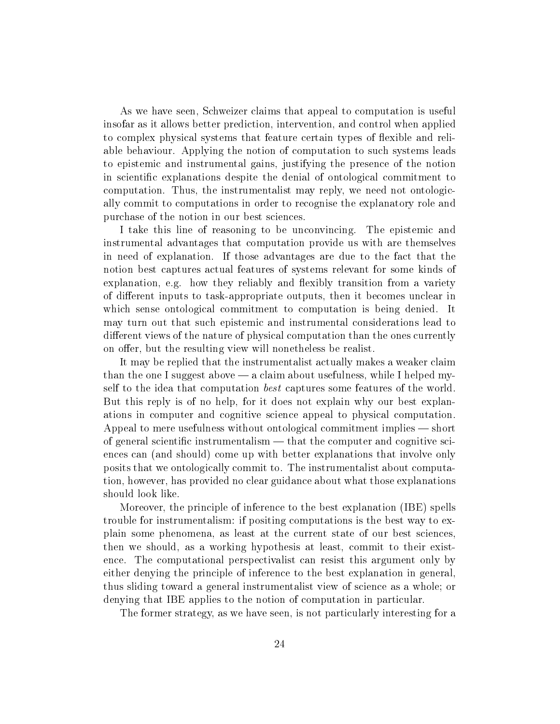As we have seen, Schweizer claims that appeal to computation is useful insofar as it allows better prediction, intervention, and control when applied to complex physical systems that feature certain types of flexible and reliable behaviour. Applying the notion of computation to such systems leads to epistemic and instrumental gains, justifying the presence of the notion in scientific explanations despite the denial of ontological commitment to computation. Thus, the instrumentalist may reply, we need not ontologically commit to computations in order to recognise the explanatory role and purchase of the notion in our best sciences.

I take this line of reasoning to be unconvincing. The epistemic and instrumental advantages that computation provide us with are themselves in need of explanation. If those advantages are due to the fact that the notion best captures actual features of systems relevant for some kinds of explanation, e.g. how they reliably and flexibly transition from a variety of different inputs to task-appropriate outputs, then it becomes unclear in which sense ontological commitment to computation is being denied. It may turn out that such epistemic and instrumental considerations lead to different views of the nature of physical computation than the ones currently on offer, but the resulting view will nonetheless be realist.

It may be replied that the instrumentalist actually makes a weaker claim than the one I suggest above  $-$  a claim about usefulness, while I helped myself to the idea that computation best captures some features of the world. But this reply is of no help, for it does not explain why our best explanations in computer and cognitive science appeal to physical computation. Appeal to mere usefulness without ontological commitment implies  $-$  short of general scientific instrumentalism  $-$  that the computer and cognitive sciences can (and should) come up with better explanations that involve only posits that we ontologically commit to. The instrumentalist about computation, however, has provided no clear guidance about what those explanations should look like.

Moreover, the principle of inference to the best explanation (IBE) spells trouble for instrumentalism: if positing computations is the best way to explain some phenomena, as least at the current state of our best sciences, then we should, as a working hypothesis at least, commit to their existence. The computational perspectivalist can resist this argument only by either denying the principle of inference to the best explanation in general, thus sliding toward a general instrumentalist view of science as a whole; or denying that IBE applies to the notion of computation in particular.

The former strategy, as we have seen, is not particularly interesting for a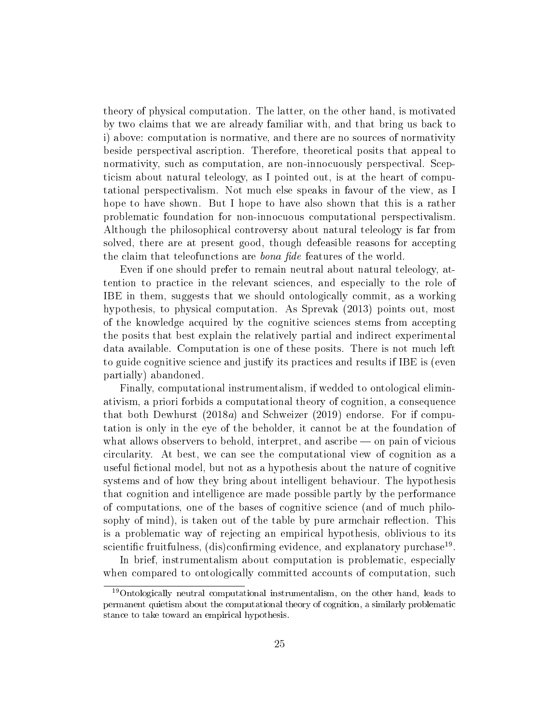theory of physical computation. The latter, on the other hand, is motivated by two claims that we are already familiar with, and that bring us back to i) above: computation is normative, and there are no sources of normativity beside perspectival ascription. Therefore, theoretical posits that appeal to normativity, such as computation, are non-innocuously perspectival. Scepticism about natural teleology, as I pointed out, is at the heart of computational perspectivalism. Not much else speaks in favour of the view, as I hope to have shown. But I hope to have also shown that this is a rather problematic foundation for non-innocuous computational perspectivalism. Although the philosophical controversy about natural teleology is far from solved, there are at present good, though defeasible reasons for accepting the claim that teleofunctions are *bona fide* features of the world.

Even if one should prefer to remain neutral about natural teleology, attention to practice in the relevant sciences, and especially to the role of IBE in them, suggests that we should ontologically commit, as a working hypothesis, to physical computation. As Sprevak (2013) points out, most of the knowledge acquired by the cognitive sciences stems from accepting the posits that best explain the relatively partial and indirect experimental data available. Computation is one of these posits. There is not much left to guide cognitive science and justify its practices and results if IBE is (even partially) abandoned.

Finally, computational instrumentalism, if wedded to ontological eliminativism, a priori forbids a computational theory of cognition, a consequence that both Dewhurst (2018a) and Schweizer (2019) endorse. For if computation is only in the eye of the beholder, it cannot be at the foundation of what allows observers to behold, interpret, and ascribe  $\sim$  on pain of vicious circularity. At best, we can see the computational view of cognition as a useful fictional model, but not as a hypothesis about the nature of cognitive systems and of how they bring about intelligent behaviour. The hypothesis that cognition and intelligence are made possible partly by the performance of computations, one of the bases of cognitive science (and of much philosophy of mind), is taken out of the table by pure armchair reflection. This is a problematic way of rejecting an empirical hypothesis, oblivious to its  $\rm scientific~fruitfulness,$   $\rm(dis) confirming~evidence,$  and  $\rm explanatory~purchase^{19}.$ 

In brief, instrumentalism about computation is problematic, especially when compared to ontologically committed accounts of computation, such

<sup>19</sup>Ontologically neutral computational instrumentalism, on the other hand, leads to permanent quietism about the computational theory of cognition, a similarly problematic stance to take toward an empirical hypothesis.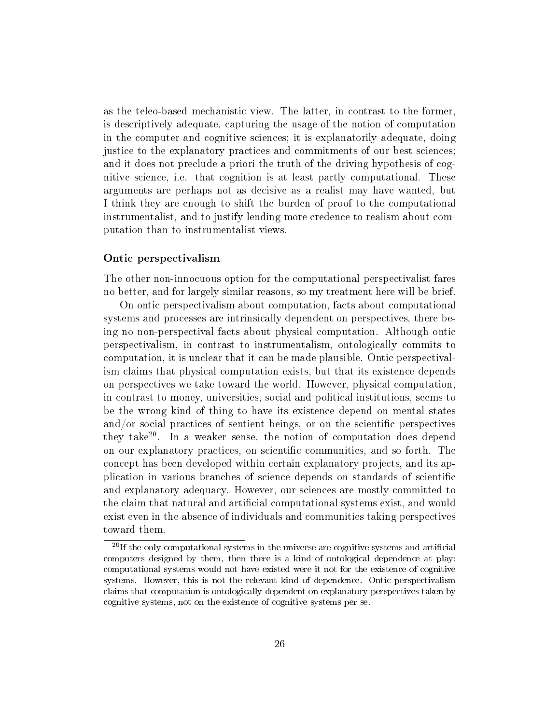as the teleo-based mechanistic view. The latter, in contrast to the former, is descriptively adequate, capturing the usage of the notion of computation in the computer and cognitive sciences; it is explanatorily adequate, doing justice to the explanatory practices and commitments of our best sciences; and it does not preclude a priori the truth of the driving hypothesis of cognitive science, i.e. that cognition is at least partly computational. These arguments are perhaps not as decisive as a realist may have wanted, but I think they are enough to shift the burden of proof to the computational instrumentalist, and to justify lending more credence to realism about computation than to instrumentalist views.

#### Ontic perspectivalism

The other non-innocuous option for the computational perspectivalist fares no better, and for largely similar reasons, so my treatment here will be brief.

On ontic perspectivalism about computation, facts about computational systems and processes are intrinsically dependent on perspectives, there being no non-perspectival facts about physical computation. Although ontic perspectivalism, in contrast to instrumentalism, ontologically commits to computation, it is unclear that it can be made plausible. Ontic perspectivalism claims that physical computation exists, but that its existence depends on perspectives we take toward the world. However, physical computation, in contrast to money, universities, social and political institutions, seems to be the wrong kind of thing to have its existence depend on mental states and/or social practices of sentient beings, or on the scientific perspectives they take<sup>20</sup>. In a weaker sense, the notion of computation does depend on our explanatory practices, on scientific communities, and so forth. The concept has been developed within certain explanatory projects, and its application in various branches of science depends on standards of scientic and explanatory adequacy. However, our sciences are mostly committed to the claim that natural and artificial computational systems exist, and would exist even in the absence of individuals and communities taking perspectives toward them.

 $20$ If the only computational systems in the universe are cognitive systems and artificial computers designed by them, then there is a kind of ontological dependence at play: computational systems would not have existed were it not for the existence of cognitive systems. However, this is not the relevant kind of dependence. Ontic perspectivalism claims that computation is ontologically dependent on explanatory perspectives taken by cognitive systems, not on the existence of cognitive systems per se.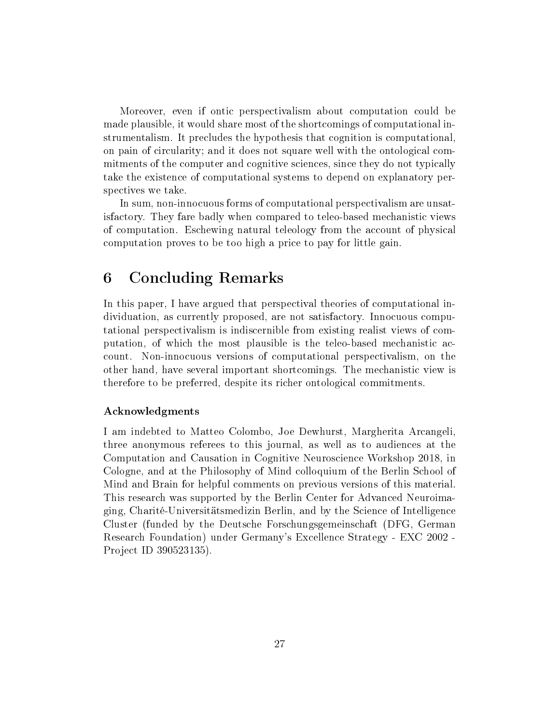Moreover, even if ontic perspectivalism about computation could be made plausible, it would share most of the shortcomings of computational instrumentalism. It precludes the hypothesis that cognition is computational, on pain of circularity; and it does not square well with the ontological commitments of the computer and cognitive sciences, since they do not typically take the existence of computational systems to depend on explanatory perspectives we take.

In sum, non-innocuous forms of computational perspectivalism are unsatisfactory. They fare badly when compared to teleo-based mechanistic views of computation. Eschewing natural teleology from the account of physical computation proves to be too high a price to pay for little gain.

# 6 Concluding Remarks

In this paper, I have argued that perspectival theories of computational individuation, as currently proposed, are not satisfactory. Innocuous computational perspectivalism is indiscernible from existing realist views of computation, of which the most plausible is the teleo-based mechanistic account. Non-innocuous versions of computational perspectivalism, on the other hand, have several important shortcomings. The mechanistic view is therefore to be preferred, despite its richer ontological commitments.

### Acknowledgments

I am indebted to Matteo Colombo, Joe Dewhurst, Margherita Arcangeli, three anonymous referees to this journal, as well as to audiences at the Computation and Causation in Cognitive Neuroscience Workshop 2018, in Cologne, and at the Philosophy of Mind colloquium of the Berlin School of Mind and Brain for helpful comments on previous versions of this material. This research was supported by the Berlin Center for Advanced Neuroimaging, Charité-Universitätsmedizin Berlin, and by the Science of Intelligence Cluster (funded by the Deutsche Forschungsgemeinschaft (DFG, German Research Foundation) under Germany's Excellence Strategy - EXC 2002 - Project ID 390523135).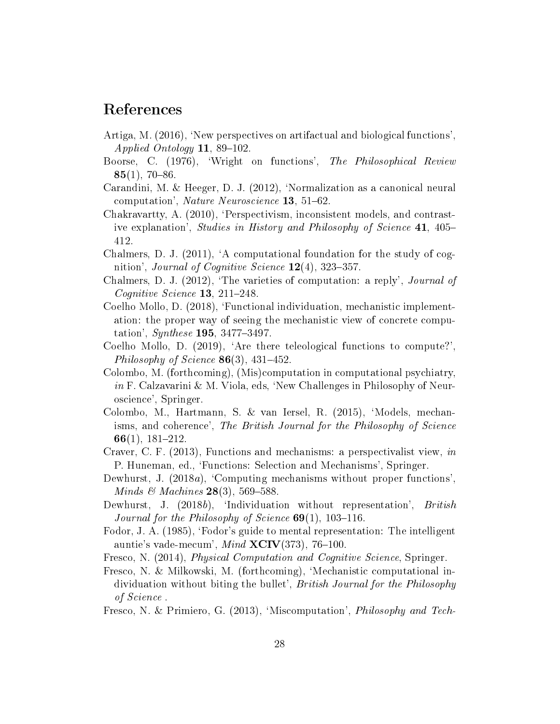# References

- Artiga, M. (2016), 'New perspectives on artifactual and biological functions', *Applied Ontology* 11, 89–102.
- Boorse, C. (1976), `Wright on functions', The Philosophical Review  $85(1), 70-86.$
- Carandini, M. & Heeger, D. J. (2012), `Normalization as a canonical neural computation', Nature Neuroscience  $13, 51-62$ .
- Chakravartty, A. (2010), 'Perspectivism, inconsistent models, and contrastive explanation', Studies in History and Philosophy of Science 41, 405– 412.
- Chalmers, D. J. (2011), `A computational foundation for the study of cognition', Journal of Cognitive Science  $12(4)$ , 323-357.
- Chalmers, D. J. (2012), 'The varieties of computation: a reply', *Journal of* Cognitive Science 13, 211-248.
- Coelho Mollo, D. (2018), `Functional individuation, mechanistic implementation: the proper way of seeing the mechanistic view of concrete computation', *Synthese* **195**, 3477-3497.
- Coelho Mollo, D. (2019), `Are there teleological functions to compute?', Philosophy of Science  $86(3)$ , 431-452.
- Colombo, M. (forthcoming), (Mis)computation in computational psychiatry, in F. Calzavarini & M. Viola, eds, 'New Challenges in Philosophy of Neuroscience', Springer.
- Colombo, M., Hartmann, S. & van Iersel, R. (2015), `Models, mechanisms, and coherence', The British Journal for the Philosophy of Science  $66(1), 181-212.$
- Craver, C. F. (2013), Functions and mechanisms: a perspectivalist view, in P. Huneman, ed., `Functions: Selection and Mechanisms', Springer.
- Dewhurst, J. (2018a), 'Computing mechanisms without proper functions', *Minds* & *Machines* **28**(3), 569-588.
- Dewhurst, J. (2018b), 'Individuation without representation', British Journal for the Philosophy of Science  $69(1)$ , 103-116.
- Fodor, J. A. (1985), 'Fodor's guide to mental representation: The intelligent auntie's vade-mecum',  $Mind XCIV(373)$ , 76-100.
- Fresco, N. (2014), Physical Computation and Cognitive Science, Springer.
- Fresco, N. & Milkowski, M. (forthcoming), `Mechanistic computational individuation without biting the bullet', British Journal for the Philosophy of Science .
- Fresco, N. & Primiero, G. (2013), 'Miscomputation', *Philosophy and Tech-*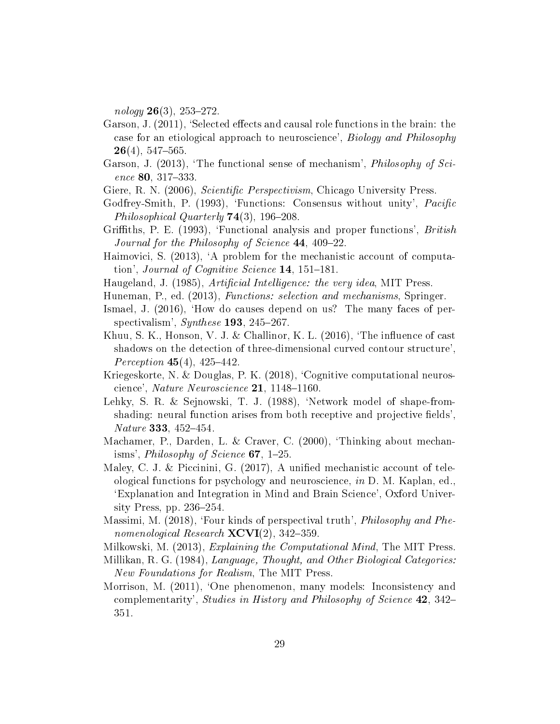nology  $26(3)$ ,  $253-272$ .

- Garson, J.  $(2011)$ , 'Selected effects and causal role functions in the brain: the case for an etiological approach to neuroscience', Biology and Philosophy  $26(4)$ , 547-565.
- Garson, J. (2013), 'The functional sense of mechanism', *Philosophy of Sci*ence  $80, 317 - 333$ .
- Giere, R. N. (2006), *Scientific Perspectivism*, Chicago University Press.
- Godfrey-Smith, P. (1993), 'Functions: Consensus without unity', *Pacific* Philosophical Quarterly  $74(3)$ , 196-208.
- Griffiths, P. E. (1993), 'Functional analysis and proper functions', *British* Journal for the Philosophy of Science 44, 409–22.
- Haimovici, S. (2013), 'A problem for the mechanistic account of computation', Journal of Cognitive Science  $14$ , 151–181.
- Haugeland, J. (1985), Artificial Intelligence: the very idea, MIT Press.
- Huneman, P., ed. (2013), Functions: selection and mechanisms, Springer.
- Ismael, J. (2016), 'How do causes depend on us? The many faces of perspectivalism',  $Synthese$  193, 245-267.
- Khuu, S. K., Honson, V. J. & Challinor, K. L. (2016), 'The influence of cast shadows on the detection of three-dimensional curved contour structure', *Perception* 45(4), 425-442.
- Kriegeskorte, N. & Douglas, P. K. (2018), 'Cognitive computational neuroscience', Nature Neuroscience  $21$ , 1148-1160.
- Lehky, S. R. & Sejnowski, T. J. (1988), 'Network model of shape-fromshading: neural function arises from both receptive and projective fields'.  $Nature$  333, 452-454.
- Machamer, P., Darden, L. & Craver, C. (2000), 'Thinking about mechanisms', Philosophy of Science  $67$ , 1-25.
- Maley, C. J. & Piccinini, G.  $(2017)$ , A unified mechanistic account of teleological functions for psychology and neuroscience, in D. M. Kaplan, ed., `Explanation and Integration in Mind and Brain Science', Oxford University Press, pp.  $236-254$ .
- Massimi, M. (2018), 'Four kinds of perspectival truth', *Philosophy and Phe*nomenological Research  $XCVI(2)$ , 342-359.
- Milkowski, M. (2013), *Explaining the Computational Mind*, The MIT Press.
- Millikan, R. G. (1984), Language, Thought, and Other Biological Categories: New Foundations for Realism, The MIT Press.
- Morrison, M. (2011), 'One phenomenon, many models: Inconsistency and complementarity', Studies in History and Philosophy of Science 42, 342-351.